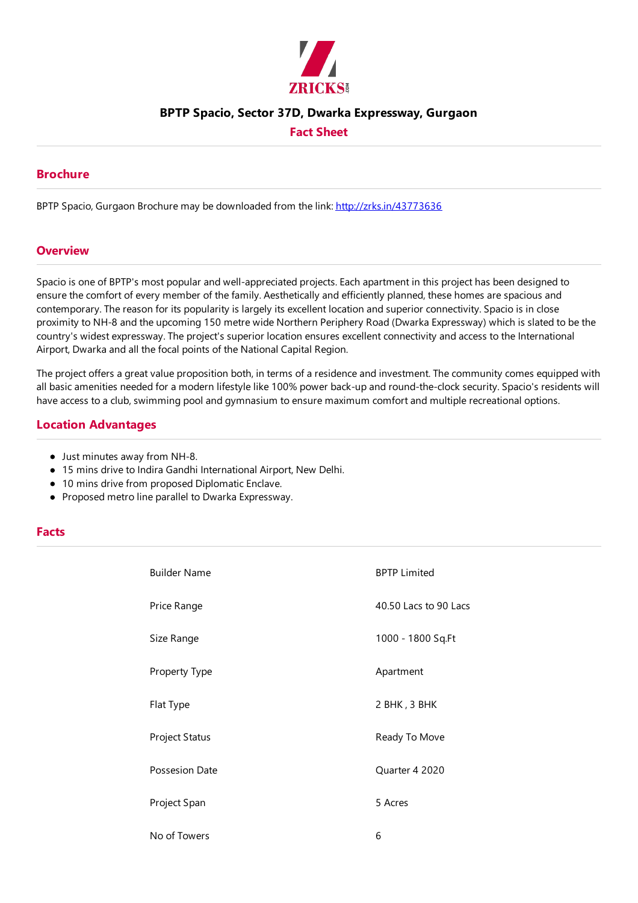

## **BPTP Spacio, Sector 37D, Dwarka Expressway, Gurgaon**

### **Fact Sheet**

#### **Brochure**

BPTP Spacio, Gurgaon Brochure may be downloaded from the link: http://zrks.in/43773636

#### **Overview**

Spacio is one of BPTP's most popular and well-appreciated projects.Each apartment in this project has been designed to ensure the comfort of every member of the family. Aesthetically and efficiently planned, these homes are spacious and contemporary. The reason for its popularity is largely its excellent location and superior connectivity. Spacio is in close proximity to NH-8 and the upcoming 150 metre wide Northern Periphery Road (Dwarka Expressway) which is slated to be the country's widest expressway. The project's superior location ensures excellent connectivity and access to the International Airport, Dwarka and all the focal points of the National Capital Region.

The project offers a great value proposition both, in terms of a residence and investment. The community comes equipped with all basic amenities needed for a modern lifestyle like 100% power back-up and round-the-clock security. Spacio's residents will have access to a club, swimming pool and gymnasium to ensure maximum comfort and multiple recreational options.

#### **Location Advantages**

- Just minutes away from NH-8.
- $\bullet$  15 mins drive to Indira Gandhi International Airport, New Delhi.
- 10 mins drive from proposed Diplomatic Enclave.
- Proposed metro line parallel to Dwarka Expressway.

#### **Facts**

| <b>Builder Name</b> | <b>BPTP Limited</b>   |
|---------------------|-----------------------|
| Price Range         | 40.50 Lacs to 90 Lacs |
| Size Range          | 1000 - 1800 Sq.Ft     |
| Property Type       | Apartment             |
| Flat Type           | 2 BHK, 3 BHK          |
| Project Status      | Ready To Move         |
| Possesion Date      | Quarter 4 2020        |
| Project Span        | 5 Acres               |
| No of Towers        | 6                     |